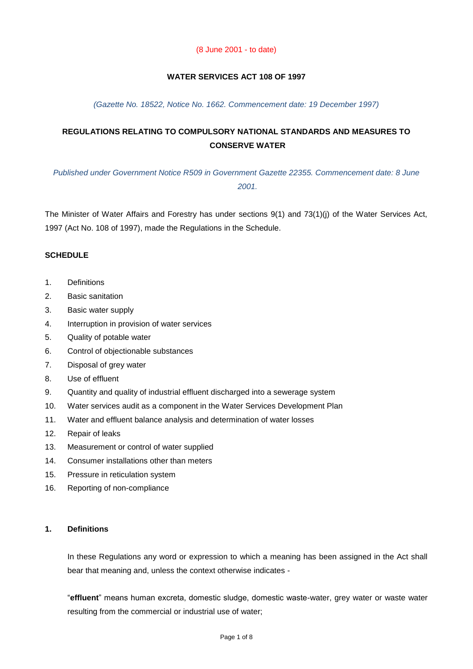#### (8 June 2001 - to date)

## **WATER SERVICES ACT 108 OF 1997**

#### *(Gazette No. 18522, Notice No. 1662. Commencement date: 19 December 1997)*

# **REGULATIONS RELATING TO COMPULSORY NATIONAL STANDARDS AND MEASURES TO CONSERVE WATER**

*Published under Government Notice R509 in Government Gazette 22355. Commencement date: 8 June 2001.*

The Minister of Water Affairs and Forestry has under sections 9(1) and 73(1)(j) of the Water Services Act, 1997 (Act No. 108 of 1997), made the Regulations in the Schedule.

#### **SCHEDULE**

- 1. Definitions
- 2. Basic sanitation
- 3. Basic water supply
- 4. Interruption in provision of water services
- 5. Quality of potable water
- 6. Control of objectionable substances
- 7. Disposal of grey water
- 8. Use of effluent
- 9. Quantity and quality of industrial effluent discharged into a sewerage system
- 10. Water services audit as a component in the Water Services Development Plan
- 11. Water and effluent balance analysis and determination of water losses
- 12. Repair of leaks
- 13. Measurement or control of water supplied
- 14. Consumer installations other than meters
- 15. Pressure in reticulation system
- 16. Reporting of non-compliance

# **1. Definitions**

In these Regulations any word or expression to which a meaning has been assigned in the Act shall bear that meaning and, unless the context otherwise indicates -

"**effluent**" means human excreta, domestic sludge, domestic waste-water, grey water or waste water resulting from the commercial or industrial use of water;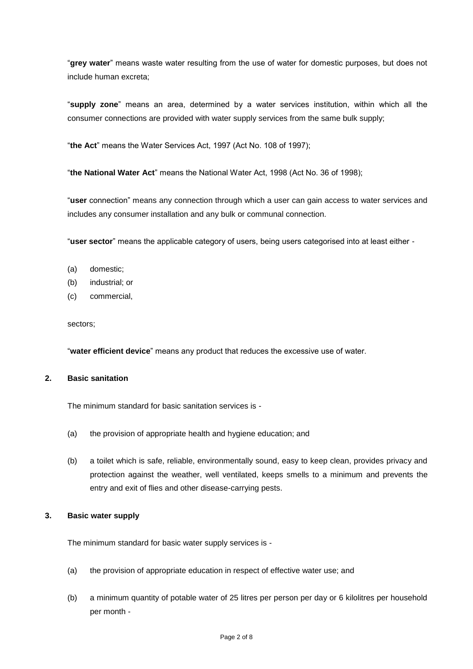"**grey water**" means waste water resulting from the use of water for domestic purposes, but does not include human excreta;

"**supply zone**" means an area, determined by a water services institution, within which all the consumer connections are provided with water supply services from the same bulk supply;

"**the Act**" means the Water Services Act, 1997 (Act No. 108 of 1997);

"**the National Water Act**" means the National Water Act, 1998 (Act No. 36 of 1998);

"**user** connection" means any connection through which a user can gain access to water services and includes any consumer installation and any bulk or communal connection.

"**user sector**" means the applicable category of users, being users categorised into at least either -

- (a) domestic;
- (b) industrial; or
- (c) commercial,

sectors;

"**water efficient device**" means any product that reduces the excessive use of water.

# **2. Basic sanitation**

The minimum standard for basic sanitation services is -

- (a) the provision of appropriate health and hygiene education; and
- (b) a toilet which is safe, reliable, environmentally sound, easy to keep clean, provides privacy and protection against the weather, well ventilated, keeps smells to a minimum and prevents the entry and exit of flies and other disease-carrying pests.

#### **3. Basic water supply**

The minimum standard for basic water supply services is -

- (a) the provision of appropriate education in respect of effective water use; and
- (b) a minimum quantity of potable water of 25 litres per person per day or 6 kilolitres per household per month -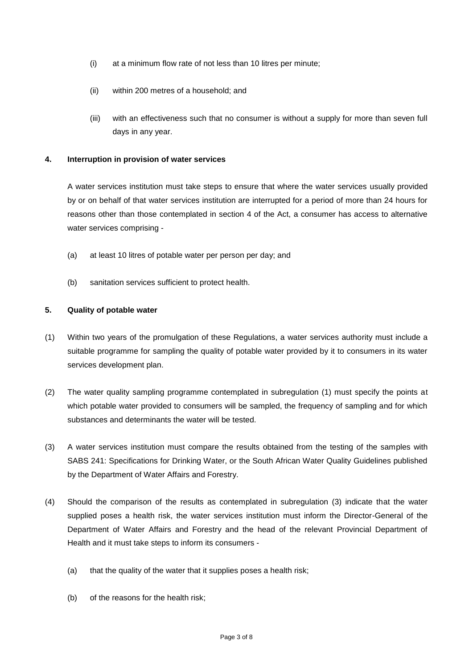- (i) at a minimum flow rate of not less than 10 litres per minute;
- (ii) within 200 metres of a household; and
- (iii) with an effectiveness such that no consumer is without a supply for more than seven full days in any year.

## **4. Interruption in provision of water services**

A water services institution must take steps to ensure that where the water services usually provided by or on behalf of that water services institution are interrupted for a period of more than 24 hours for reasons other than those contemplated in section 4 of the Act, a consumer has access to alternative water services comprising -

- (a) at least 10 litres of potable water per person per day; and
- (b) sanitation services sufficient to protect health.

# **5. Quality of potable water**

- (1) Within two years of the promulgation of these Regulations, a water services authority must include a suitable programme for sampling the quality of potable water provided by it to consumers in its water services development plan.
- (2) The water quality sampling programme contemplated in subregulation (1) must specify the points at which potable water provided to consumers will be sampled, the frequency of sampling and for which substances and determinants the water will be tested.
- (3) A water services institution must compare the results obtained from the testing of the samples with SABS 241: Specifications for Drinking Water, or the South African Water Quality Guidelines published by the Department of Water Affairs and Forestry.
- (4) Should the comparison of the results as contemplated in subregulation (3) indicate that the water supplied poses a health risk, the water services institution must inform the Director-General of the Department of Water Affairs and Forestry and the head of the relevant Provincial Department of Health and it must take steps to inform its consumers -
	- (a) that the quality of the water that it supplies poses a health risk;
	- (b) of the reasons for the health risk;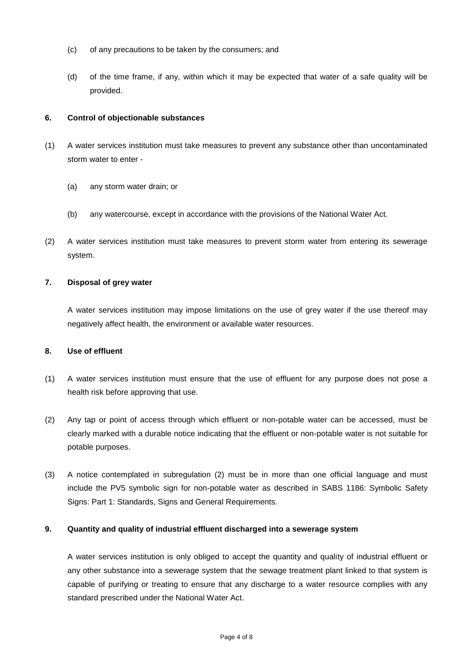- (c) of any precautions to be taken by the consumers; and
- (d) of the time frame, if any, within which it may be expected that water of a safe quality will be provided.

#### **6. Control of objectionable substances**

- (1) A water services institution must take measures to prevent any substance other than uncontaminated storm water to enter -
	- (a) any storm water drain; or
	- (b) any watercourse, except in accordance with the provisions of the National Water Act.
- (2) A water services institution must take measures to prevent storm water from entering its sewerage system.

#### **7. Disposal of grey water**

A water services institution may impose limitations on the use of grey water if the use thereof may negatively affect health, the environment or available water resources.

#### **8. Use of effluent**

- (1) A water services institution must ensure that the use of effluent for any purpose does not pose a health risk before approving that use.
- (2) Any tap or point of access through which effluent or non-potable water can be accessed, must be clearly marked with a durable notice indicating that the effluent or non-potable water is not suitable for potable purposes.
- (3) A notice contemplated in subregulation (2) must be in more than one official language and must include the PV5 symbolic sign for non-potable water as described in SABS 1186: Symbolic Safety Signs: Part 1: Standards, Signs and General Requirements.

#### **9. Quantity and quality of industrial effluent discharged into a sewerage system**

A water services institution is only obliged to accept the quantity and quality of industrial effluent or any other substance into a sewerage system that the sewage treatment plant linked to that system is capable of purifying or treating to ensure that any discharge to a water resource complies with any standard prescribed under the National Water Act.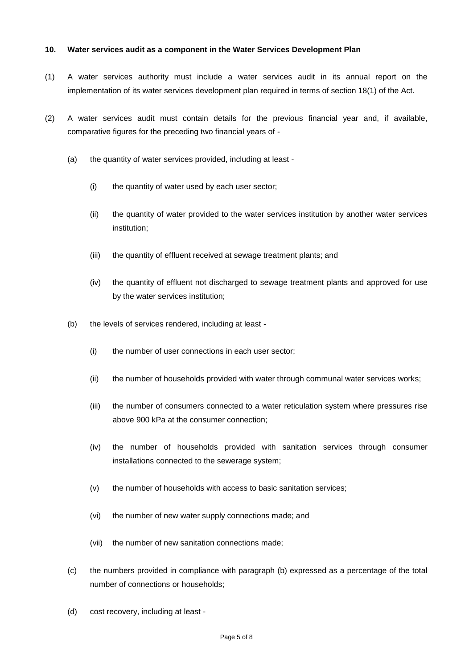#### **10. Water services audit as a component in the Water Services Development Plan**

- (1) A water services authority must include a water services audit in its annual report on the implementation of its water services development plan required in terms of section 18(1) of the Act.
- (2) A water services audit must contain details for the previous financial year and, if available, comparative figures for the preceding two financial years of -
	- (a) the quantity of water services provided, including at least
		- (i) the quantity of water used by each user sector;
		- (ii) the quantity of water provided to the water services institution by another water services institution;
		- (iii) the quantity of effluent received at sewage treatment plants; and
		- (iv) the quantity of effluent not discharged to sewage treatment plants and approved for use by the water services institution;
	- (b) the levels of services rendered, including at least
		- (i) the number of user connections in each user sector;
		- (ii) the number of households provided with water through communal water services works;
		- (iii) the number of consumers connected to a water reticulation system where pressures rise above 900 kPa at the consumer connection;
		- (iv) the number of households provided with sanitation services through consumer installations connected to the sewerage system;
		- (v) the number of households with access to basic sanitation services;
		- (vi) the number of new water supply connections made; and
		- (vii) the number of new sanitation connections made;
	- (c) the numbers provided in compliance with paragraph (b) expressed as a percentage of the total number of connections or households;
	- (d) cost recovery, including at least -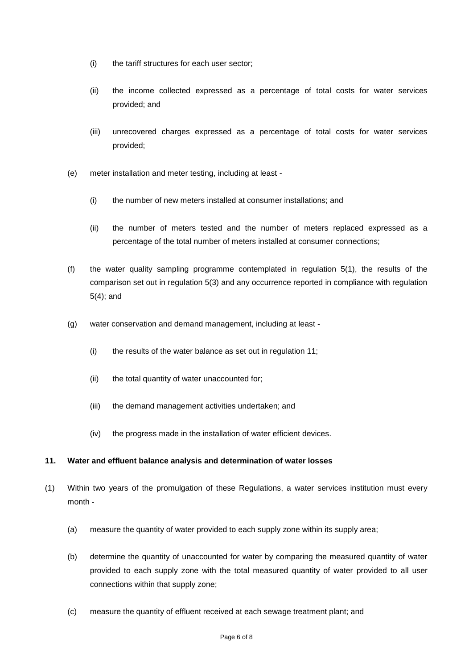- (i) the tariff structures for each user sector;
- (ii) the income collected expressed as a percentage of total costs for water services provided; and
- (iii) unrecovered charges expressed as a percentage of total costs for water services provided;
- (e) meter installation and meter testing, including at least
	- (i) the number of new meters installed at consumer installations; and
	- (ii) the number of meters tested and the number of meters replaced expressed as a percentage of the total number of meters installed at consumer connections;
- (f) the water quality sampling programme contemplated in regulation 5(1), the results of the comparison set out in regulation 5(3) and any occurrence reported in compliance with regulation 5(4); and
- (g) water conservation and demand management, including at least
	- (i) the results of the water balance as set out in regulation 11;
	- (ii) the total quantity of water unaccounted for;
	- (iii) the demand management activities undertaken; and
	- (iv) the progress made in the installation of water efficient devices.

## **11. Water and effluent balance analysis and determination of water losses**

- (1) Within two years of the promulgation of these Regulations, a water services institution must every month -
	- (a) measure the quantity of water provided to each supply zone within its supply area;
	- (b) determine the quantity of unaccounted for water by comparing the measured quantity of water provided to each supply zone with the total measured quantity of water provided to all user connections within that supply zone;
	- (c) measure the quantity of effluent received at each sewage treatment plant; and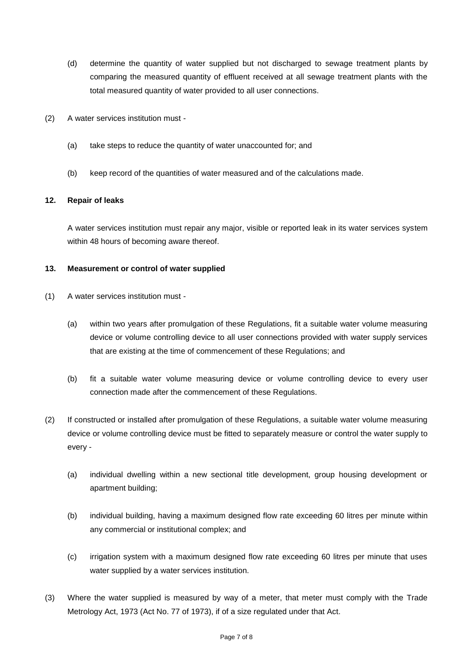- (d) determine the quantity of water supplied but not discharged to sewage treatment plants by comparing the measured quantity of effluent received at all sewage treatment plants with the total measured quantity of water provided to all user connections.
- (2) A water services institution must
	- (a) take steps to reduce the quantity of water unaccounted for; and
	- (b) keep record of the quantities of water measured and of the calculations made.

## **12. Repair of leaks**

A water services institution must repair any major, visible or reported leak in its water services system within 48 hours of becoming aware thereof.

## **13. Measurement or control of water supplied**

- (1) A water services institution must
	- (a) within two years after promulgation of these Regulations, fit a suitable water volume measuring device or volume controlling device to all user connections provided with water supply services that are existing at the time of commencement of these Regulations; and
	- (b) fit a suitable water volume measuring device or volume controlling device to every user connection made after the commencement of these Regulations.
- (2) If constructed or installed after promulgation of these Regulations, a suitable water volume measuring device or volume controlling device must be fitted to separately measure or control the water supply to every -
	- (a) individual dwelling within a new sectional title development, group housing development or apartment building;
	- (b) individual building, having a maximum designed flow rate exceeding 60 litres per minute within any commercial or institutional complex; and
	- (c) irrigation system with a maximum designed flow rate exceeding 60 litres per minute that uses water supplied by a water services institution.
- (3) Where the water supplied is measured by way of a meter, that meter must comply with the Trade Metrology Act, 1973 (Act No. 77 of 1973), if of a size regulated under that Act.